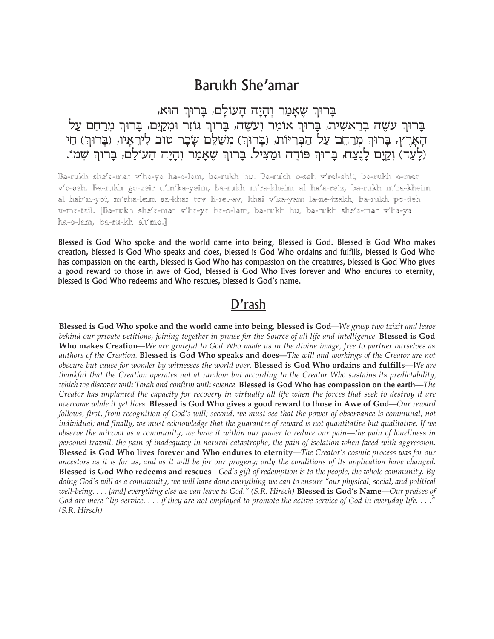## **Barukh She'amar**

ברוּךְ שאמר והיה העולם, ברוּךְ הוּא,

בְרוּךְ עַשֶׂה בְרֵאשִׁית, בְרוּךְ אוֹמֵר וְעַשֶׂה, בְרוּךְ גּוֹזֵר וּמְקַיֵּם, בָרוּךְ מִרַחֵם עַל הָאָרֶץ, בְּרוּךְ מְרַחֵם עַל הַבְּרִיּוֹת, (בָרוּךְ) מְשַׁלֵּם שָבָר טוב לִירֵאָיו, (בָרוּךְ) חַי (לַעֲד) וַקַיַּם לַנֵצַח, בַרוּךְ פוֹדֶה וּמַצִיל. בַרוּךְ שֶאַמַר וְהַיַה הַעוֹלַם, בַרוּךְ שָׁמוֹ.

Ba-rukh she'a-mar v'ha-ya ha-o-lam, ba-rukh hu. Ba-rukh o-seh v'rei-shit, ba-rukh o-mer v'o-seh. Ba-rukh go-zeir u'm'ka-yeim, ba-rukh m'ra-kheim al ha'a-retz, ba-rukh m'ra-kheim al hab'ri-yot, m'sha-leim sa-khar tov li-rei-av, khai v'ka-yam la-ne-tzakh, ba-rukh po-deh u-ma-tzil. [Ba-rukh she'a-mar v'ha-ya ha-o-lam, ba-rukh hu, ba-rukh she'a-mar v'ha-ya ha-o-lam, ba-ru-kh sh'mo.]

Blessed is God Who spoke and the world came into being, Blessed is God. Blessed is God Who makes creation, blessed is God Who speaks and does, blessed is God Who ordains and fulfills, blessed is God Who has compassion on the earth, blessed is God Who has compassion on the creatures, blessed is God Who gives a good reward to those in awe of God, blessed is God Who lives forever and Who endures to eternity, blessed is God Who redeems and Who rescues, blessed is God's name.

## D'rash

Blessed is God Who spoke and the world came into being, blessed is God—We grasp two tzizit and leave behind our private petitions, joining together in praise for the Source of all life and intelligence. **Blessed is God** Who makes Creation—We are grateful to God Who made us in the divine image, free to partner ourselves as authors of the Creation. Blessed is God Who speaks and does—The will and workings of the Creator are not obscure but cause for wonder by witnesses the world over. Blessed is God Who ordains and fulfills—We are thankful that the Creation operates not at random but according to the Creator Who sustains its predictability, which we discover with Torah and confirm with science. Blessed is God Who has compassion on the earth—The Creator has implanted the capacity for recovery in virtually all life when the forces that seek to destroy it are overcome while it yet lives. Blessed is God Who gives a good reward to those in Awe of God—Our reward follows, first, from recognition of God's will; second, we must see that the power of observance is communal, not individual; and finally, we must acknowledge that the guarantee of reward is not quantitative but qualitative. If we observe the mitzvot as a community, we have it within our power to reduce our pain—the pain of loneliness in personal travail, the pain of inadequacy in natural catastrophe, the pain of isolation when faced with aggression. Blessed is God Who lives forever and Who endures to eternity—The Creator's cosmic process was for our ancestors as it is for us, and as it will be for our progeny; only the conditions of its application have changed. Blessed is God Who redeems and rescues—God's gift of redemption is to the people, the whole community. By doing God's will as a community, we will have done everything we can to ensure "our physical, social, and political well-being.... [and] everything else we can leave to God." (S.R. Hirsch) Blessed is God's Name—Our praises of God are mere "lip-service.... if they are not employed to promote the active service of God in everyday life...." (S.R. Hirsch)